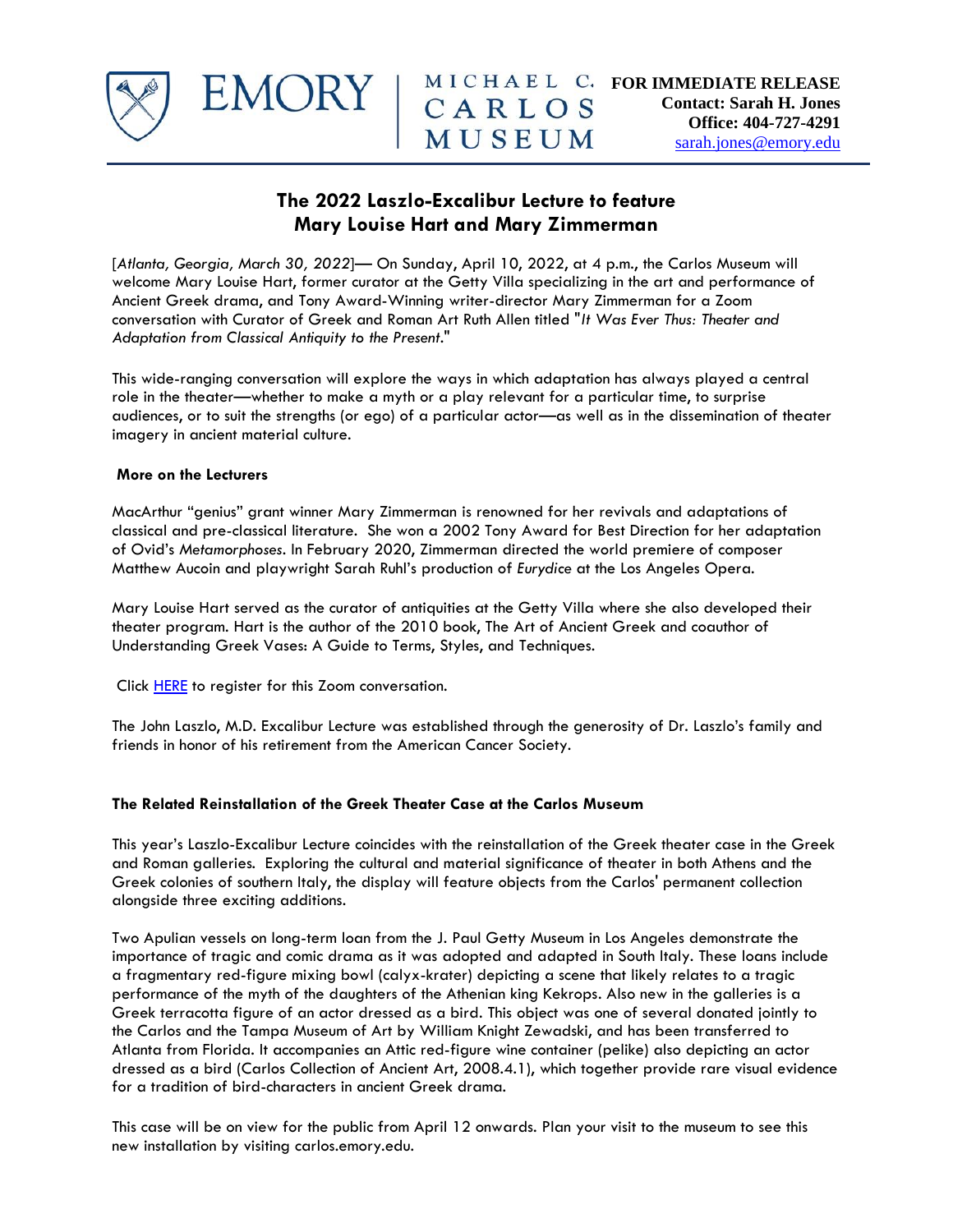

## **The 2022 Laszlo-Excalibur Lecture to feature Mary Louise Hart and Mary Zimmerman**

[*Atlanta, Georgia, March 30, 2022*]— On Sunday, April 10, 2022, at 4 p.m., the Carlos Museum will welcome Mary Louise Hart, former curator at the Getty Villa specializing in the art and performance of Ancient Greek drama, and Tony Award-Winning writer-director Mary Zimmerman for a Zoom conversation with Curator of Greek and Roman Art Ruth Allen titled "*It Was Ever Thus: Theater and Adaptation from Classical Antiquity to the Present*."

This wide-ranging conversation will explore the ways in which adaptation has always played a central role in the theater—whether to make a myth or a play relevant for a particular time, to surprise audiences, or to suit the strengths (or ego) of a particular actor—as well as in the dissemination of theater imagery in ancient material culture.

## **More on the Lecturers**

MacArthur "genius" grant winner Mary Zimmerman is renowned for her revivals and adaptations of classical and pre-classical literature. She won a 2002 Tony Award for Best Direction for her adaptation of Ovid's *Metamorphoses*. In February 2020, Zimmerman directed the world premiere of composer Matthew Aucoin and playwright Sarah Ruhl's production of *Eurydice* at the Los Angeles Opera.

Mary Louise Hart served as the curator of antiquities at the Getty Villa where she also developed their theater program. Hart is the author of the 2010 book, The Art of Ancient Greek and coauthor of Understanding Greek Vases: A Guide to Terms, Styles, and Techniques.

Click **HERE** to register for this Zoom conversation.

EMORY

The John Laszlo, M.D. Excalibur Lecture was established through the generosity of Dr. Laszlo's family and friends in honor of his retirement from the American Cancer Society.

## **The Related Reinstallation of the Greek Theater Case at the Carlos Museum**

This year's Laszlo-Excalibur Lecture coincides with the reinstallation of the Greek theater case in the Greek and Roman galleries. Exploring the cultural and material significance of theater in both Athens and the Greek colonies of southern Italy, the display will feature objects from the Carlos' permanent collection alongside three exciting additions.

Two Apulian vessels on long-term loan from the J. Paul Getty Museum in Los Angeles demonstrate the importance of tragic and comic drama as it was adopted and adapted in South Italy. These loans include a fragmentary red-figure mixing bowl (calyx-krater) depicting a scene that likely relates to a tragic performance of the myth of the daughters of the Athenian king Kekrops. Also new in the galleries is a Greek terracotta figure of an actor dressed as a bird. This object was one of several donated jointly to the Carlos and the Tampa Museum of Art by William Knight Zewadski, and has been transferred to Atlanta from Florida. It accompanies an Attic red-figure wine container (pelike) also depicting an actor dressed as a bird (Carlos Collection of Ancient Art, 2008.4.1), which together provide rare visual evidence for a tradition of bird-characters in ancient Greek drama.

This case will be on view for the public from April 12 onwards. Plan your visit to the museum to see this new installation by visiting carlos.emory.edu.